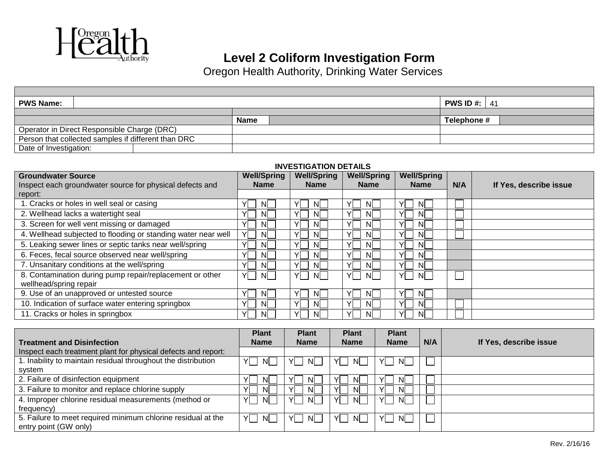

### **Level 2 Coliform Investigation Form**

Oregon Health Authority, Drinking Water Services

| <b>PWS Name:</b>                                    |  |  |             |  |             | <b>PWS ID #: 41</b> |
|-----------------------------------------------------|--|--|-------------|--|-------------|---------------------|
|                                                     |  |  |             |  |             |                     |
|                                                     |  |  | <b>Name</b> |  | Telephone # |                     |
| Operator in Direct Responsible Charge (DRC)         |  |  |             |  |             |                     |
| Person that collected samples if different than DRC |  |  |             |  |             |                     |
| Date of Investigation:                              |  |  |             |  |             |                     |

#### **INVESTIGATION DETAILS**

| <b>Groundwater Source</b>                                     | <b>Well/Spring</b> | <b>Well/Spring</b> | <b>Well/Spring</b> | <b>Well/Spring</b> |     |                        |
|---------------------------------------------------------------|--------------------|--------------------|--------------------|--------------------|-----|------------------------|
| Inspect each groundwater source for physical defects and      | <b>Name</b>        | <b>Name</b>        | <b>Name</b>        | <b>Name</b>        | N/A | If Yes, describe issue |
| report:                                                       |                    |                    |                    |                    |     |                        |
| 1. Cracks or holes in well seal or casing                     | v<br>ΝI            | YI<br>ΝI           | ٧l<br>NI           | ΝI                 |     |                        |
| 2. Wellhead lacks a watertight seal                           | v<br>NI.           | YI<br>NI           | YI<br>NI           | <b>NI</b>          |     |                        |
| 3. Screen for well vent missing or damaged                    | v<br>NI            | Yl<br>ΝI           | YI<br>NI           | ΝI                 |     |                        |
| 4. Wellhead subjected to flooding or standing water near well | Υl<br>NI.          | YI<br>NL           | YL<br>ΝI           | -NI                |     |                        |
| 5. Leaking sewer lines or septic tanks near well/spring       | NL                 | Yl<br>ΝI           | YL<br>ΝI           | -NI                |     |                        |
| 6. Feces, fecal source observed near well/spring              | v<br>NI.           | Yl<br>NI           | YL<br><b>NI</b>    | NI.                |     |                        |
| 7. Unsanitary conditions at the well/spring                   | Y<br>NI.           | YI<br>NI           | YL<br><b>NI</b>    | -NI                |     |                        |
| 8. Contamination during pump repair/replacement or other      | YI I<br>NI.        | YI<br>NI.          | YL.<br>NI.         | NI.<br>YL          |     |                        |
| wellhead/spring repair                                        |                    |                    |                    |                    |     |                        |
| 9. Use of an unapproved or untested source                    | v<br>NI.           | YI<br>NI           | VI<br>ΝI           | -NI                |     |                        |
| 10. Indication of surface water entering springbox            | v<br>NL            | vl<br>ΝI           | YL<br>NI           | -NI                |     |                        |
| 11. Cracks or holes in springbox                              | Yl<br>NI.          | YI<br>ΝI           | YL<br>NL           | -NI                |     |                        |

|                                                               | <b>Plant</b> | <b>Plant</b> | <b>Plant</b>      | <b>Plant</b> |     |                        |
|---------------------------------------------------------------|--------------|--------------|-------------------|--------------|-----|------------------------|
| <b>Treatment and Disinfection</b>                             | <b>Name</b>  | <b>Name</b>  | <b>Name</b>       | <b>Name</b>  | N/A | If Yes, describe issue |
| Inspect each treatment plant for physical defects and report: |              |              |                   |              |     |                        |
| 1. Inability to maintain residual throughout the distribution | NI.<br>YI    | NI.<br>YL    | $N_{\perp}$<br>YI | NL           |     |                        |
| system                                                        |              |              |                   |              |     |                        |
| 2. Failure of disinfection equipment                          | ΝI           | NI.          | NL.               | ΝI           |     |                        |
| 3. Failure to monitor and replace chlorine supply             | <b>NI</b>    | NI.          | NL                | ΝI           |     |                        |
| 4. Improper chlorine residual measurements (method or         | NI.<br>YI    | YI<br>NI.    | YI<br>N.          | YL<br>NI.    |     |                        |
| frequency)                                                    |              |              |                   |              |     |                        |
| 5. Failure to meet required minimum chlorine residual at the  | YL<br>NL.    | NL.<br>YL    | N<br>YI           | YL<br>NI.    |     |                        |
| entry point (GW only)                                         |              |              |                   |              |     |                        |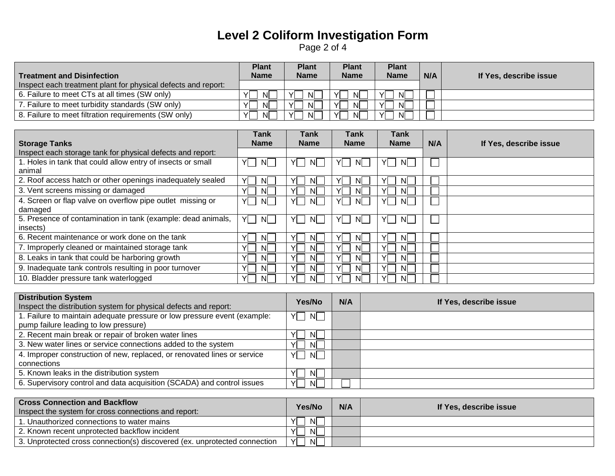# **Level 2 Coliform Investigation Form**  Page 2 of 4

|                                                               | <b>Plant</b>        | <b>Plant</b>   | <b>Plant</b> | <b>Plant</b>    |     |                        |
|---------------------------------------------------------------|---------------------|----------------|--------------|-----------------|-----|------------------------|
| <b>Treatment and Disinfection</b>                             | <b>Name</b>         | <b>Name</b>    | Name         | <b>Name</b>     | N/A | If Yes, describe issue |
| Inspect each treatment plant for physical defects and report: |                     |                |              |                 |     |                        |
| 6. Failure to meet CTs at all times (SW only)                 | v<br>NI             | NI.            | N.<br>Yl     | <b>NI</b><br>YI |     |                        |
| 7. Failure to meet turbidity standards (SW only)              | NI<br>$\mathcal{L}$ | N.<br>v        | v<br>N.      | <b>NI</b><br>v  |     |                        |
| 8. Failure to meet filtration requirements (SW only)          | v<br>ΝI             | <b>NI</b><br>v | N.<br>v      | <b>NI</b><br>v  |     |                        |

|                                                              | Tank        | Tank        | <b>Tank</b> | Tank           |     |                        |
|--------------------------------------------------------------|-------------|-------------|-------------|----------------|-----|------------------------|
| <b>Storage Tanks</b>                                         | <b>Name</b> | <b>Name</b> | <b>Name</b> | <b>Name</b>    | N/A | If Yes, describe issue |
| Inspect each storage tank for physical defects and report:   |             |             |             |                |     |                        |
| 1. Holes in tank that could allow entry of insects or small  | YI .<br>NL. | NI.         | ΝI          | N.             |     |                        |
| animal                                                       |             |             |             |                |     |                        |
| 2. Roof access hatch or other openings inadequately sealed   | YL<br>NI.   | NL          | NI          | <b>NI</b>      |     |                        |
| 3. Vent screens missing or damaged                           | .NI         | NI.         | ΝI          | ΝI             |     |                        |
| 4. Screen or flap valve on overflow pipe outlet missing or   | YI .<br>N   | YL<br>NL.   | YL<br>NI.   | YL<br>NL.      |     |                        |
| damaged                                                      |             |             |             |                |     |                        |
| 5. Presence of contamination in tank (example: dead animals, | YI .<br>N   | YI I<br>NL  | YL<br>NI.   | NI.<br>YI      |     |                        |
| insects)                                                     |             |             |             |                |     |                        |
| 6. Recent maintenance or work done on the tank               | YL<br>NL.   | NI.         | ΝI          | <b>N</b>       |     |                        |
| 7. Improperly cleaned or maintained storage tank             | NI.         | NI.         | ΝI          | NI             |     |                        |
| 8. Leaks in tank that could be harboring growth              | YL.<br>NI.  | NI.         | NI.         | v<br><b>NI</b> |     |                        |
| 9. Inadequate tank controls resulting in poor turnover       | NI.         | NI.         | NI.         | NI             |     |                        |
| 10. Bladder pressure tank waterlogged                        | YL<br>-NI   | NI.         | NI          | Nl             |     |                        |

| <b>Distribution System</b>                                               | Yes/No             | N/A | If Yes, describe issue |
|--------------------------------------------------------------------------|--------------------|-----|------------------------|
| Inspect the distribution system for physical defects and report:         |                    |     |                        |
| 1. Failure to maintain adequate pressure or low pressure event (example: | $\mathsf{N}$<br>YL |     |                        |
| pump failure leading to low pressure)                                    |                    |     |                        |
| 2. Recent main break or repair of broken water lines                     | .NI                |     |                        |
| 3. New water lines or service connections added to the system            | -NI                |     |                        |
| 4. Improper construction of new, replaced, or renovated lines or service | YI I<br>N          |     |                        |
| connections                                                              |                    |     |                        |
| 5. Known leaks in the distribution system                                | -NI                |     |                        |
| 6. Supervisory control and data acquisition (SCADA) and control issues   | VI<br><sup>N</sup> |     |                        |

| <b>Cross Connection and Backflow</b><br>Inspect the system for cross connections and report: | Yes/No             | N/A | If Yes, describe issue |
|----------------------------------------------------------------------------------------------|--------------------|-----|------------------------|
| 1. Unauthorized connections to water mains                                                   | -NI<br>v           |     |                        |
| L2. Known recent unprotected backflow incident                                               | $\mathsf{N}$<br>v  |     |                        |
| 3. Unprotected cross connection(s) discovered (ex. unprotected connection                    | Υl<br>$\mathsf{N}$ |     |                        |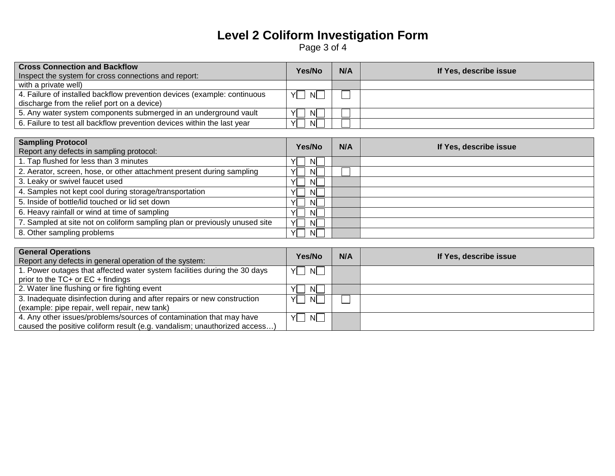# **Level 2 Coliform Investigation Form**  Page 3 of 4

| <b>Cross Connection and Backflow</b>                                     | Yes/No              | N/A | If Yes, describe issue |
|--------------------------------------------------------------------------|---------------------|-----|------------------------|
| Inspect the system for cross connections and report:                     |                     |     |                        |
| with a private well)                                                     |                     |     |                        |
| 4. Failure of installed backflow prevention devices (example: continuous | $^{\prime}$ N<br>YI |     |                        |
| discharge from the relief port on a device)                              |                     |     |                        |
| 5. Any water system components submerged in an underground vault         | vı<br>NI.           |     |                        |
| 6. Failure to test all backflow prevention devices within the last year  | N<br>Yl             |     |                        |

| <b>Sampling Protocol</b><br>Report any defects in sampling protocol:       | Yes/No    | N/A | If Yes, describe issue |
|----------------------------------------------------------------------------|-----------|-----|------------------------|
| 1. Tap flushed for less than 3 minutes                                     | N<br>YL   |     |                        |
| 2. Aerator, screen, hose, or other attachment present during sampling      | YI<br>NL  |     |                        |
| 3. Leaky or swivel faucet used                                             | YI<br>NL. |     |                        |
| 4. Samples not kept cool during storage/transportation                     | NL        |     |                        |
| 5. Inside of bottle/lid touched or lid set down                            | YI<br>NL. |     |                        |
| 6. Heavy rainfall or wind at time of sampling                              | N<br>YI   |     |                        |
| 7. Sampled at site not on coliform sampling plan or previously unused site | Yl<br>NL  |     |                        |
| 8. Other sampling problems                                                 | Yl<br>NI. |     |                        |

| <b>General Operations</b>                                                 | Yes/No              | N/A | If Yes, describe issue |
|---------------------------------------------------------------------------|---------------------|-----|------------------------|
| Report any defects in general operation of the system:                    |                     |     |                        |
| 1. Power outages that affected water system facilities during the 30 days | YL<br>$\mathsf{N}$  |     |                        |
| prior to the $TC+$ or $EC +$ findings                                     |                     |     |                        |
| 2. Water line flushing or fire fighting event                             | -NI                 |     |                        |
| 3. Inadequate disinfection during and after repairs or new construction   | YL<br>-NI           |     |                        |
| (example: pipe repair, well repair, new tank)                             |                     |     |                        |
| 4. Any other issues/problems/sources of contamination that may have       | $\mathsf{N}$<br>YL. |     |                        |
| caused the positive coliform result (e.g. vandalism; unauthorized access) |                     |     |                        |